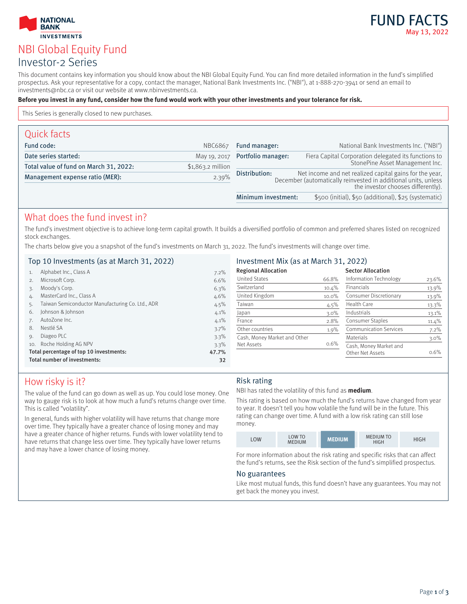# **INVESTMENTS** NBI Global Equity Fund Investor-2 Series

**NATIONAL BANK** 

FUND FAC May 13, 2022

This document contains key information you should know about the NBI Global Equity Fund. You can find more detailed information in the fund's simplified prospectus. Ask your representative for a copy, contact the manager, National Bank Investments Inc. ("NBI"), at 1-888-270-3941 or send an email to investments@nbc.ca or visit our website at www.nbinvestments.ca.

#### **Before you invest in any fund, consider how the fund would work with your other investments and your tolerance for risk.**

This Series is generally closed to new purchases.

| Quick facts                              |                    |                                                                                                                                                                                  |                                                       |
|------------------------------------------|--------------------|----------------------------------------------------------------------------------------------------------------------------------------------------------------------------------|-------------------------------------------------------|
| Fund code:                               | <b>NBC6867</b>     | Fund manager:                                                                                                                                                                    | National Bank Investments Inc. ("NBI")                |
| Date series started:                     | May 19, 2017       | Portfolio manager:                                                                                                                                                               | Fiera Capital Corporation delegated its functions to  |
| Total value of fund on March 31, 2022:   | $$1,863.2$ million |                                                                                                                                                                                  | StonePine Asset Management Inc.                       |
| 2.39%<br>Management expense ratio (MER): |                    | Net income and net realized capital gains for the year,<br>December (automatically reinvested in additional units, unless<br>Distribution:<br>the investor chooses differently). |                                                       |
|                                          |                    | Minimum investment:                                                                                                                                                              | \$500 (initial), \$50 (additional), \$25 (systematic) |

# What does the fund invest in?

The fund's investment objective is to achieve long-term capital growth. It builds a diversified portfolio of common and preferred shares listed on recognized stock exchanges.

The charts below give you a snapshot of the fund's investments on March 31, 2022. The fund's investments will change over time.

### Top 10 Investments (as at March 31, 2022)

| Alphabet Inc., Class A                           | $7.2\%$ |
|--------------------------------------------------|---------|
| Microsoft Corp.                                  | 6.6%    |
| Moody's Corp.                                    | 6.3%    |
| MasterCard Inc., Class A                         | $4.6\%$ |
| Taiwan Semiconductor Manufacturing Co. Ltd., ADR | 4.5%    |
| Johnson & Johnson                                | $4.1\%$ |
| AutoZone Inc.                                    | $4.1\%$ |
| Nestlé SA                                        | $3.7\%$ |
| Diageo PLC                                       | $3.3\%$ |
| Roche Holding AG NPV                             | $3.3\%$ |
| Total percentage of top 10 investments:          | 47.7%   |
| Total number of investments:                     | 32      |
|                                                  |         |

### Investment Mix (as at March 31, 2022)

| <b>Regional Allocation</b>   |          | <b>Sector Allocation</b>      |          |
|------------------------------|----------|-------------------------------|----------|
| <b>United States</b>         | 66.8%    | Information Technology        | 23.6%    |
| Switzerland                  | $10.4\%$ | <b>Financials</b>             | 13.9%    |
| United Kingdom               | $10.0\%$ | Consumer Discretionary        | 13.9%    |
| Taiwan                       | 4.5%     | Health Care                   | 13.3%    |
| Japan                        | $3.0\%$  | Industrials                   | 13.1%    |
| France                       | 2.8%     | Consumer Staples              | $11.4\%$ |
| Other countries              | 1.9%     | <b>Communication Services</b> | 7.2%     |
| Cash, Money Market and Other |          | <b>Materials</b>              | $3.0\%$  |
| Net Assets                   | 0.6%     | Cash, Money Market and        |          |
|                              |          | Other Net Assets              | $0.6\%$  |
|                              |          |                               |          |

# How risky is it?

The value of the fund can go down as well as up. You could lose money. One way to gauge risk is to look at how much a fund's returns change over time. This is called "volatility".

In general, funds with higher volatility will have returns that change more over time. They typically have a greater chance of losing money and may have a greater chance of higher returns. Funds with lower volatility tend to have returns that change less over time. They typically have lower returns and may have a lower chance of losing money.

### Risk rating

NBI has rated the volatility of this fund as **medium**.

This rating is based on how much the fund's returns have changed from year to year. It doesn't tell you how volatile the fund will be in the future. This rating can change over time. A fund with a low risk rating can still lose money.

| <b>LOW</b> | <b>LOW TO</b><br><b>MEDIUM</b> | <b>MEDIUM</b> | <b>MEDIUM TO</b><br><b>HIGH</b> | HIGH |
|------------|--------------------------------|---------------|---------------------------------|------|
|------------|--------------------------------|---------------|---------------------------------|------|

For more information about the risk rating and specific risks that can affect the fund's returns, see the Risk section of the fund's simplified prospectus.

### No guarantees

Like most mutual funds, this fund doesn't have any guarantees. You may not get back the money you invest.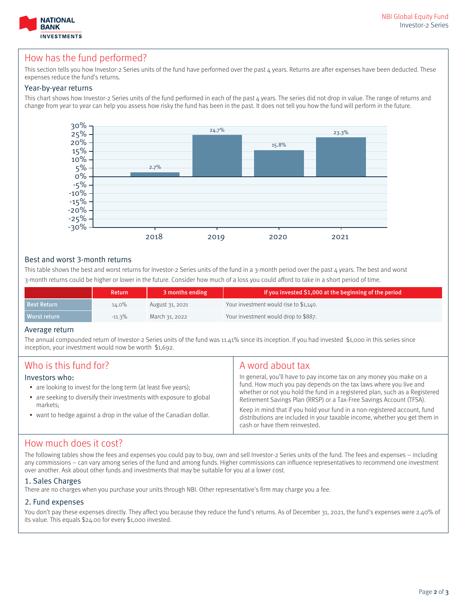

# How has the fund performed?

This section tells you how Investor-2 Series units of the fund have performed over the past  $\mu$  years. Returns are after expenses have been deducted. These expenses reduce the fund's returns.

### Year-by-year returns

This chart shows how Investor-2 Series units of the fund performed in each of the past 4 years. The series did not drop in value. The range of returns and change from year to year can help you assess how risky the fund has been in the past. It does not tell you how the fund will perform in the future.



### Best and worst 3-month returns

This table shows the best and worst returns for Investor-2 Series units of the fund in a 3-month period over the past  $\mu$  years. The best and worst 3-month returns could be higher or lower in the future. Consider how much of a loss you could afford to take in a short period of time.

|                    | Return    | 3 months ending | If you invested \$1,000 at the beginning of the period |
|--------------------|-----------|-----------------|--------------------------------------------------------|
| <b>Best Return</b> | 14.0%     | August 31, 2021 | Your investment would rise to \$1,140.                 |
| Worst return       | $-11.3\%$ | March 31, 2022  | Your investment would drop to \$887.                   |

### Average return

The annual compounded return of Investor-2 Series units of the fund was 11.41% since its inception. If you had invested \$1,000 in this series since inception, your investment would now be worth \$1,692.

| Who is this fund for?<br>Investors who:<br>• are looking to invest for the long term (at least five years);<br>• are seeking to diversify their investments with exposure to global<br>markets:<br>• want to hedge against a drop in the value of the Canadian dollar. | A word about tax<br>In general, you'll have to pay income tax on any money you make on a<br>fund. How much you pay depends on the tax laws where you live and<br>whether or not you hold the fund in a registered plan, such as a Registered<br>Retirement Savings Plan (RRSP) or a Tax-Free Savings Account (TFSA).<br>Keep in mind that if you hold your fund in a non-registered account, fund<br>distributions are included in your taxable income, whether you get them in |
|------------------------------------------------------------------------------------------------------------------------------------------------------------------------------------------------------------------------------------------------------------------------|---------------------------------------------------------------------------------------------------------------------------------------------------------------------------------------------------------------------------------------------------------------------------------------------------------------------------------------------------------------------------------------------------------------------------------------------------------------------------------|
|                                                                                                                                                                                                                                                                        | cash or have them reinvested.                                                                                                                                                                                                                                                                                                                                                                                                                                                   |

# How much does it cost?

The following tables show the fees and expenses you could pay to buy, own and sell Investor-2 Series units of the fund. The fees and expenses – including any commissions – can vary among series of the fund and among funds. Higher commissions can influence representatives to recommend one investment over another. Ask about other funds and investments that may be suitable for you at a lower cost.

## 1. Sales Charges

There are no charges when you purchase your units through NBI. Other representative's firm may charge you a fee.

## 2. Fund expenses

You don't pay these expenses directly. They affect you because they reduce the fund's returns. As of December 31, 2021, the fund's expenses were 2.40% of its value. This equals \$24.00 for every \$1,000 invested.